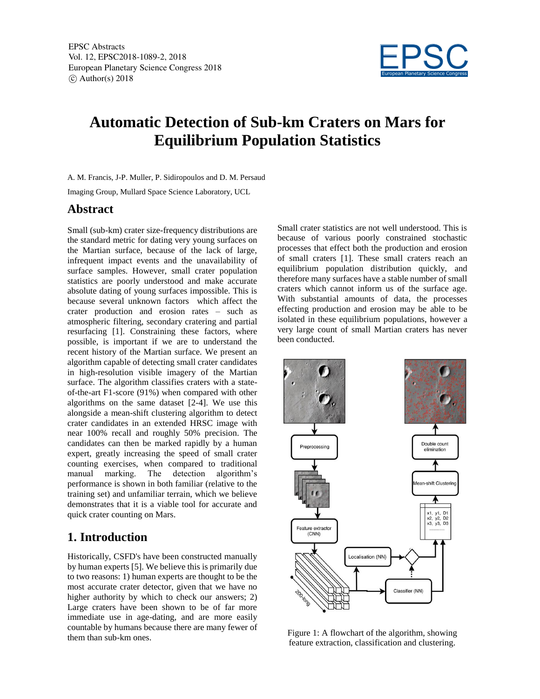

# **Automatic Detection of Sub-km Craters on Mars for Equilibrium Population Statistics**

A. M. Francis, J-P. Muller, P. Sidiropoulos and D. M. Persaud

Imaging Group, Mullard Space Science Laboratory, UCL

#### **Abstract**

Small (sub-km) crater size-frequency distributions are the standard metric for dating very young surfaces on the Martian surface, because of the lack of large, infrequent impact events and the unavailability of surface samples. However, small crater population statistics are poorly understood and make accurate absolute dating of young surfaces impossible. This is because several unknown factors which affect the crater production and erosion rates – such as atmospheric filtering, secondary cratering and partial resurfacing [1]. Constraining these factors, where possible, is important if we are to understand the recent history of the Martian surface. We present an algorithm capable of detecting small crater candidates in high-resolution visible imagery of the Martian surface. The algorithm classifies craters with a stateof-the-art F1-score (91%) when compared with other algorithms on the same dataset [2-4]. We use this alongside a mean-shift clustering algorithm to detect crater candidates in an extended HRSC image with near 100% recall and roughly 50% precision. The candidates can then be marked rapidly by a human expert, greatly increasing the speed of small crater counting exercises, when compared to traditional manual marking. The detection algorithm's performance is shown in both familiar (relative to the training set) and unfamiliar terrain, which we believe demonstrates that it is a viable tool for accurate and quick crater counting on Mars.

## **1. Introduction**

Historically, CSFD's have been constructed manually by human experts [5]. We believe this is primarily due to two reasons: 1) human experts are thought to be the most accurate crater detector, given that we have no higher authority by which to check our answers; 2) Large craters have been shown to be of far more immediate use in age-dating, and are more easily countable by humans because there are many fewer of them than sub-km ones.

Small crater statistics are not well understood. This is because of various poorly constrained stochastic processes that effect both the production and erosion of small craters [1]. These small craters reach an equilibrium population distribution quickly, and therefore many surfaces have a stable number of small craters which cannot inform us of the surface age. With substantial amounts of data, the processes effecting production and erosion may be able to be isolated in these equilibrium populations, however a very large count of small Martian craters has never been conducted.



Figure 1: A flowchart of the algorithm, showing feature extraction, classification and clustering.